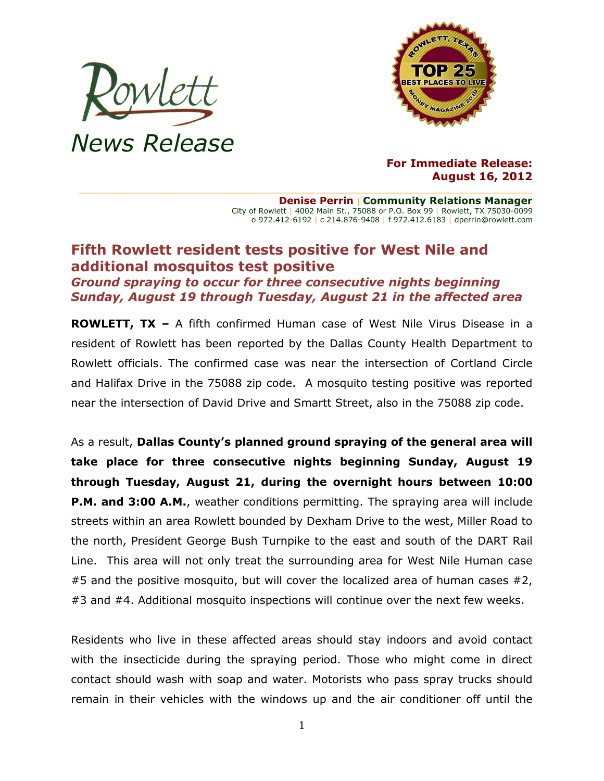



## **For Immediate Release: August 16, 2012**

**Denise Perrin** | **Community Relations Manager** City of Rowlett | 4002 Main St., 75088 or P.O. Box 99 | Rowlett, TX 75030-0099 o 972.412-6192 | c 214.876-9408 | f 972.412.6183 | dperrin@rowlett.com

## **Fifth Rowlett resident tests positive for West Nile and additional mosquitos test positive**

*Ground spraying to occur for three consecutive nights beginning Sunday, August 19 through Tuesday, August 21 in the affected area*

**ROWLETT, TX –** A fifth confirmed Human case of West Nile Virus Disease in a resident of Rowlett has been reported by the Dallas County Health Department to Rowlett officials. The confirmed case was near the intersection of Cortland Circle and Halifax Drive in the 75088 zip code. A mosquito testing positive was reported near the intersection of David Drive and Smartt Street, also in the 75088 zip code.

As a result, **Dallas County's planned ground spraying of the general area will take place for three consecutive nights beginning Sunday, August 19 through Tuesday, August 21, during the overnight hours between 10:00 P.M. and 3:00 A.M.**, weather conditions permitting. The spraying area will include streets within an area Rowlett bounded by Dexham Drive to the west, Miller Road to the north, President George Bush Turnpike to the east and south of the DART Rail Line. This area will not only treat the surrounding area for West Nile Human case  $#5$  and the positive mosquito, but will cover the localized area of human cases  $#2$ , #3 and #4. Additional mosquito inspections will continue over the next few weeks.

Residents who live in these affected areas should stay indoors and avoid contact with the insecticide during the spraying period. Those who might come in direct contact should wash with soap and water. Motorists who pass spray trucks should remain in their vehicles with the windows up and the air conditioner off until the